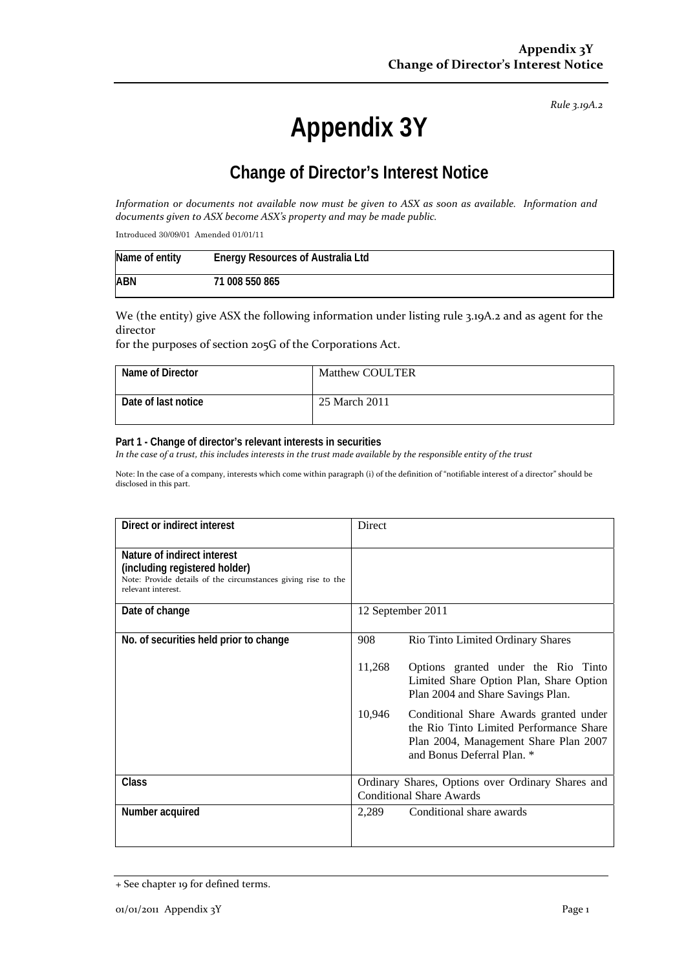*Rule 3.19A.2*

# **Appendix 3Y**

## **Change of Director's Interest Notice**

Information or documents not available now must be given to ASX as soon as available. Information and *documents given to ASX become ASX's property and may be made public.*

Introduced 30/09/01 Amended 01/01/11

| Name of entity | <b>Energy Resources of Australia Ltd</b> |
|----------------|------------------------------------------|
| <b>ABN</b>     | ' 008 550 865<br>71.                     |

We (the entity) give ASX the following information under listing rule 3.19A.2 and as agent for the director

for the purposes of section 205G of the Corporations Act.

| Name of Director    | <b>Matthew COULTER</b> |
|---------------------|------------------------|
| Date of last notice | 25 March 2011          |

#### **Part 1 - Change of director's relevant interests in securities**

In the case of a trust, this includes interests in the trust made available by the responsible entity of the trust

Note: In the case of a company, interests which come within paragraph (i) of the definition of "notifiable interest of a director" should be disclosed in this part.

| Direct or indirect interest                                                                                                                         | <b>Direct</b>                                                                                                                                                      |  |
|-----------------------------------------------------------------------------------------------------------------------------------------------------|--------------------------------------------------------------------------------------------------------------------------------------------------------------------|--|
| Nature of indirect interest<br>(including registered holder)<br>Note: Provide details of the circumstances giving rise to the<br>relevant interest. |                                                                                                                                                                    |  |
| Date of change                                                                                                                                      | 12 September 2011                                                                                                                                                  |  |
| No. of securities held prior to change                                                                                                              | 908<br>Rio Tinto Limited Ordinary Shares                                                                                                                           |  |
|                                                                                                                                                     | 11,268<br>Options granted under the Rio Tinto<br>Limited Share Option Plan, Share Option<br>Plan 2004 and Share Savings Plan.                                      |  |
|                                                                                                                                                     | 10,946<br>Conditional Share Awards granted under<br>the Rio Tinto Limited Performance Share<br>Plan 2004, Management Share Plan 2007<br>and Bonus Deferral Plan. * |  |
| <b>Class</b>                                                                                                                                        | Ordinary Shares, Options over Ordinary Shares and<br><b>Conditional Share Awards</b>                                                                               |  |
| Number acquired                                                                                                                                     | 2,289<br>Conditional share awards                                                                                                                                  |  |

<sup>+</sup> See chapter 19 for defined terms.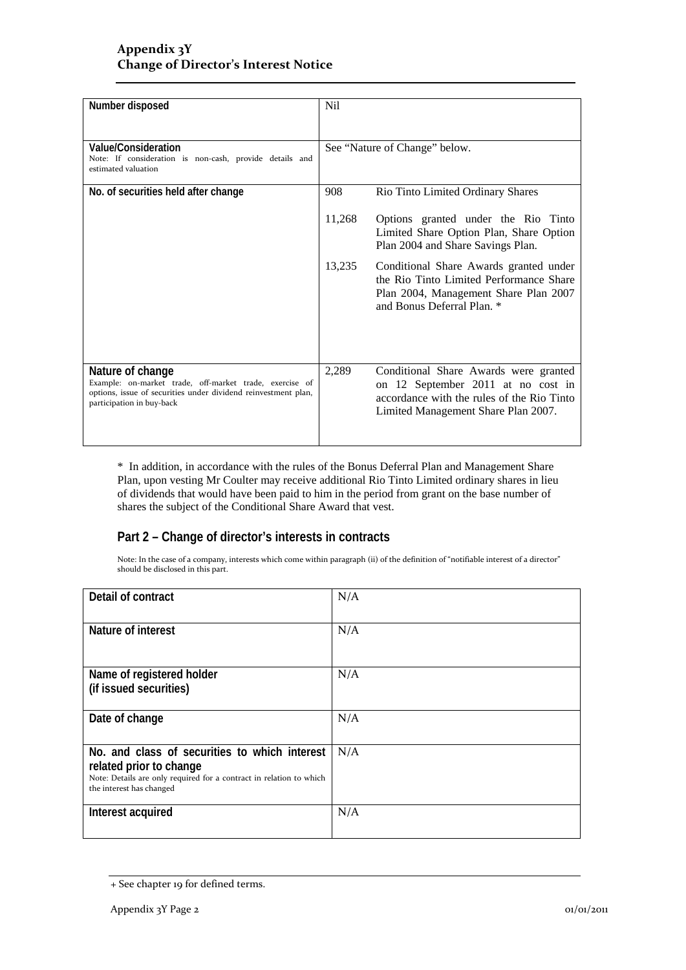#### **Appendix 3Y Change of Director's Interest Notice**

| Number disposed                                                                                                                                                            | <b>Nil</b> |                                                                                                                                                                  |
|----------------------------------------------------------------------------------------------------------------------------------------------------------------------------|------------|------------------------------------------------------------------------------------------------------------------------------------------------------------------|
| Value/Consideration<br>Note: If consideration is non-cash, provide details and<br>estimated valuation                                                                      |            | See "Nature of Change" below.                                                                                                                                    |
| No. of securities held after change                                                                                                                                        | 908        | Rio Tinto Limited Ordinary Shares                                                                                                                                |
|                                                                                                                                                                            | 11,268     | Options granted under the Rio Tinto<br>Limited Share Option Plan, Share Option<br>Plan 2004 and Share Savings Plan.                                              |
|                                                                                                                                                                            | 13,235     | Conditional Share Awards granted under<br>the Rio Tinto Limited Performance Share<br>Plan 2004, Management Share Plan 2007<br>and Bonus Deferral Plan. *         |
| Nature of change<br>Example: on-market trade, off-market trade, exercise of<br>options, issue of securities under dividend reinvestment plan,<br>participation in buy-back | 2,289      | Conditional Share Awards were granted<br>on 12 September 2011 at no cost in<br>accordance with the rules of the Rio Tinto<br>Limited Management Share Plan 2007. |

\* In addition, in accordance with the rules of the Bonus Deferral Plan and Management Share Plan, upon vesting Mr Coulter may receive additional Rio Tinto Limited ordinary shares in lieu of dividends that would have been paid to him in the period from grant on the base number of shares the subject of the Conditional Share Award that vest.

#### **Part 2 – Change of director's interests in contracts**

Note: In the case of a company, interests which come within paragraph (ii) of the definition of "notifiable interest of a director" should be disclosed in this part.

| Detail of contract                                                                                                                                                          | N/A |
|-----------------------------------------------------------------------------------------------------------------------------------------------------------------------------|-----|
| Nature of interest                                                                                                                                                          | N/A |
| Name of registered holder<br>(if issued securities)                                                                                                                         | N/A |
| Date of change                                                                                                                                                              | N/A |
| No. and class of securities to which interest<br>related prior to change<br>Note: Details are only required for a contract in relation to which<br>the interest has changed | N/A |
| Interest acquired                                                                                                                                                           | N/A |

<sup>+</sup> See chapter 19 for defined terms.